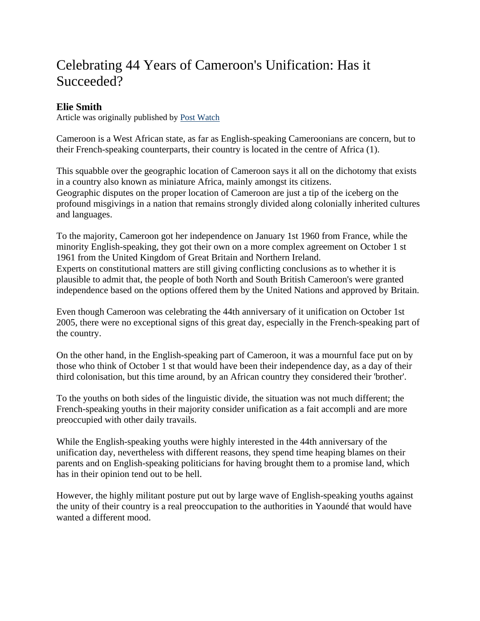# Celebrating 44 Years of Cameroon's Unification: Has it Succeeded?

# **Elie Smith**

Article was originally published by Post Watch

Cameroon is a West African state, as far as English-speaking Cameroonians are concern, but to their French-speaking counterparts, their country is located in the centre of Africa (1).

This squabble over the geographic location of Cameroon says it all on the dichotomy that exists in a country also known as miniature Africa, mainly amongst its citizens. Geographic disputes on the proper location of Cameroon are just a tip of the iceberg on the profound misgivings in a nation that remains strongly divided along colonially inherited cultures and languages.

To the majority, Cameroon got her independence on January 1st 1960 from France, while the minority English-speaking, they got their own on a more complex agreement on October 1 st 1961 from the United Kingdom of Great Britain and Northern Ireland. Experts on constitutional matters are still giving conflicting conclusions as to whether it is plausible to admit that, the people of both North and South British Cameroon's were granted independence based on the options offered them by the United Nations and approved by Britain.

Even though Cameroon was celebrating the 44th anniversary of it unification on October 1st 2005, there were no exceptional signs of this great day, especially in the French-speaking part of the country.

On the other hand, in the English-speaking part of Cameroon, it was a mournful face put on by those who think of October 1 st that would have been their independence day, as a day of their third colonisation, but this time around, by an African country they considered their 'brother'.

To the youths on both sides of the linguistic divide, the situation was not much different; the French-speaking youths in their majority consider unification as a fait accompli and are more preoccupied with other daily travails.

While the English-speaking youths were highly interested in the 44th anniversary of the unification day, nevertheless with different reasons, they spend time heaping blames on their parents and on English-speaking politicians for having brought them to a promise land, which has in their opinion tend out to be hell.

However, the highly militant posture put out by large wave of English-speaking youths against the unity of their country is a real preoccupation to the authorities in Yaoundé that would have wanted a different mood.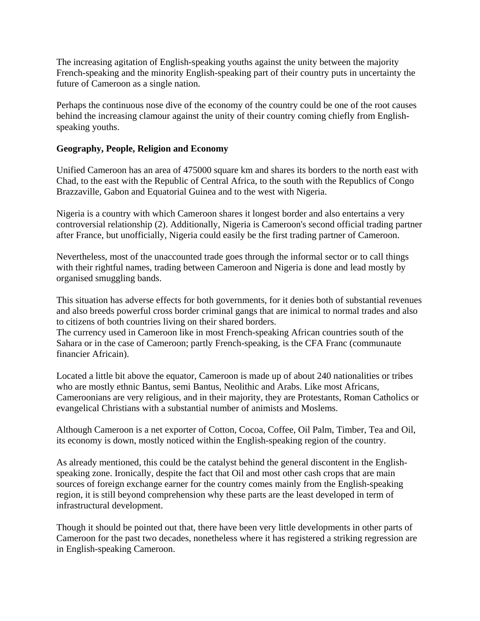The increasing agitation of English-speaking youths against the unity between the majority French-speaking and the minority English-speaking part of their country puts in uncertainty the future of Cameroon as a single nation.

Perhaps the continuous nose dive of the economy of the country could be one of the root causes behind the increasing clamour against the unity of their country coming chiefly from Englishspeaking youths.

## **Geography, People, Religion and Economy**

Unified Cameroon has an area of 475000 square km and shares its borders to the north east with Chad, to the east with the Republic of Central Africa, to the south with the Republics of Congo Brazzaville, Gabon and Equatorial Guinea and to the west with Nigeria.

Nigeria is a country with which Cameroon shares it longest border and also entertains a very controversial relationship (2). Additionally, Nigeria is Cameroon's second official trading partner after France, but unofficially, Nigeria could easily be the first trading partner of Cameroon.

Nevertheless, most of the unaccounted trade goes through the informal sector or to call things with their rightful names, trading between Cameroon and Nigeria is done and lead mostly by organised smuggling bands.

This situation has adverse effects for both governments, for it denies both of substantial revenues and also breeds powerful cross border criminal gangs that are inimical to normal trades and also to citizens of both countries living on their shared borders.

The currency used in Cameroon like in most French-speaking African countries south of the Sahara or in the case of Cameroon; partly French-speaking, is the CFA Franc (communaute financier Africain).

Located a little bit above the equator, Cameroon is made up of about 240 nationalities or tribes who are mostly ethnic Bantus, semi Bantus, Neolithic and Arabs. Like most Africans, Cameroonians are very religious, and in their majority, they are Protestants, Roman Catholics or evangelical Christians with a substantial number of animists and Moslems.

Although Cameroon is a net exporter of Cotton, Cocoa, Coffee, Oil Palm, Timber, Tea and Oil, its economy is down, mostly noticed within the English-speaking region of the country.

As already mentioned, this could be the catalyst behind the general discontent in the Englishspeaking zone. Ironically, despite the fact that Oil and most other cash crops that are main sources of foreign exchange earner for the country comes mainly from the English-speaking region, it is still beyond comprehension why these parts are the least developed in term of infrastructural development.

Though it should be pointed out that, there have been very little developments in other parts of Cameroon for the past two decades, nonetheless where it has registered a striking regression are in English-speaking Cameroon.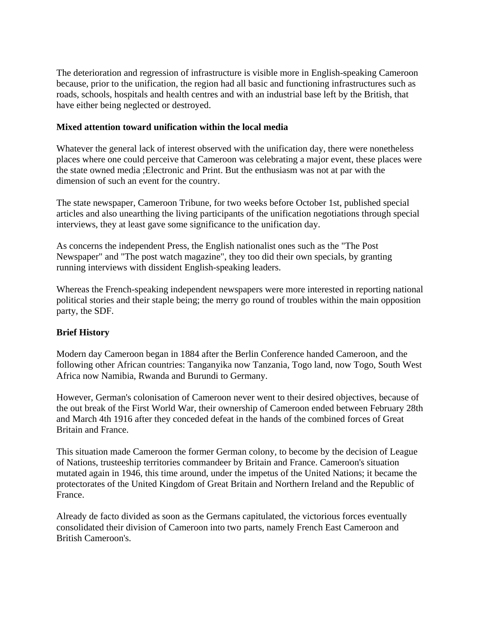The deterioration and regression of infrastructure is visible more in English-speaking Cameroon because, prior to the unification, the region had all basic and functioning infrastructures such as roads, schools, hospitals and health centres and with an industrial base left by the British, that have either being neglected or destroyed.

### **Mixed attention toward unification within the local media**

Whatever the general lack of interest observed with the unification day, there were nonetheless places where one could perceive that Cameroon was celebrating a major event, these places were the state owned media ;Electronic and Print. But the enthusiasm was not at par with the dimension of such an event for the country.

The state newspaper, Cameroon Tribune, for two weeks before October 1st, published special articles and also unearthing the living participants of the unification negotiations through special interviews, they at least gave some significance to the unification day.

As concerns the independent Press, the English nationalist ones such as the "The Post Newspaper" and "The post watch magazine", they too did their own specials, by granting running interviews with dissident English-speaking leaders.

Whereas the French-speaking independent newspapers were more interested in reporting national political stories and their staple being; the merry go round of troubles within the main opposition party, the SDF.

# **Brief History**

Modern day Cameroon began in 1884 after the Berlin Conference handed Cameroon, and the following other African countries: Tanganyika now Tanzania, Togo land, now Togo, South West Africa now Namibia, Rwanda and Burundi to Germany.

However, German's colonisation of Cameroon never went to their desired objectives, because of the out break of the First World War, their ownership of Cameroon ended between February 28th and March 4th 1916 after they conceded defeat in the hands of the combined forces of Great Britain and France.

This situation made Cameroon the former German colony, to become by the decision of League of Nations, trusteeship territories commandeer by Britain and France. Cameroon's situation mutated again in 1946, this time around, under the impetus of the United Nations; it became the protectorates of the United Kingdom of Great Britain and Northern Ireland and the Republic of France.

Already de facto divided as soon as the Germans capitulated, the victorious forces eventually consolidated their division of Cameroon into two parts, namely French East Cameroon and British Cameroon's.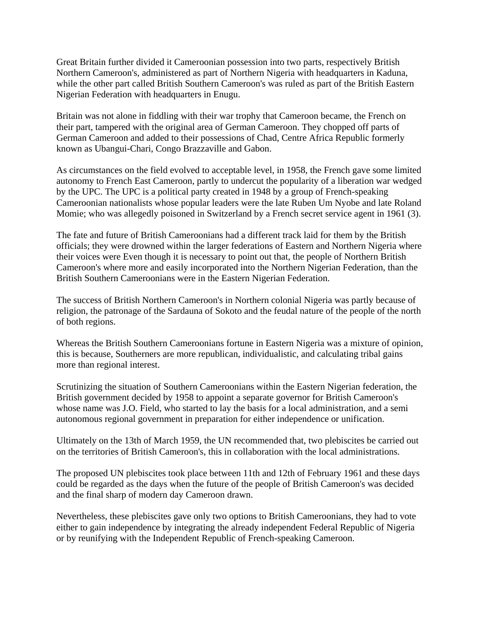Great Britain further divided it Cameroonian possession into two parts, respectively British Northern Cameroon's, administered as part of Northern Nigeria with headquarters in Kaduna, while the other part called British Southern Cameroon's was ruled as part of the British Eastern Nigerian Federation with headquarters in Enugu.

Britain was not alone in fiddling with their war trophy that Cameroon became, the French on their part, tampered with the original area of German Cameroon. They chopped off parts of German Cameroon and added to their possessions of Chad, Centre Africa Republic formerly known as Ubangui-Chari, Congo Brazzaville and Gabon.

As circumstances on the field evolved to acceptable level, in 1958, the French gave some limited autonomy to French East Cameroon, partly to undercut the popularity of a liberation war wedged by the UPC. The UPC is a political party created in 1948 by a group of French-speaking Cameroonian nationalists whose popular leaders were the late Ruben Um Nyobe and late Roland Momie; who was allegedly poisoned in Switzerland by a French secret service agent in 1961 (3).

The fate and future of British Cameroonians had a different track laid for them by the British officials; they were drowned within the larger federations of Eastern and Northern Nigeria where their voices were Even though it is necessary to point out that, the people of Northern British Cameroon's where more and easily incorporated into the Northern Nigerian Federation, than the British Southern Cameroonians were in the Eastern Nigerian Federation.

The success of British Northern Cameroon's in Northern colonial Nigeria was partly because of religion, the patronage of the Sardauna of Sokoto and the feudal nature of the people of the north of both regions.

Whereas the British Southern Cameroonians fortune in Eastern Nigeria was a mixture of opinion, this is because, Southerners are more republican, individualistic, and calculating tribal gains more than regional interest.

Scrutinizing the situation of Southern Cameroonians within the Eastern Nigerian federation, the British government decided by 1958 to appoint a separate governor for British Cameroon's whose name was J.O. Field, who started to lay the basis for a local administration, and a semi autonomous regional government in preparation for either independence or unification.

Ultimately on the 13th of March 1959, the UN recommended that, two plebiscites be carried out on the territories of British Cameroon's, this in collaboration with the local administrations.

The proposed UN plebiscites took place between 11th and 12th of February 1961 and these days could be regarded as the days when the future of the people of British Cameroon's was decided and the final sharp of modern day Cameroon drawn.

Nevertheless, these plebiscites gave only two options to British Cameroonians, they had to vote either to gain independence by integrating the already independent Federal Republic of Nigeria or by reunifying with the Independent Republic of French-speaking Cameroon.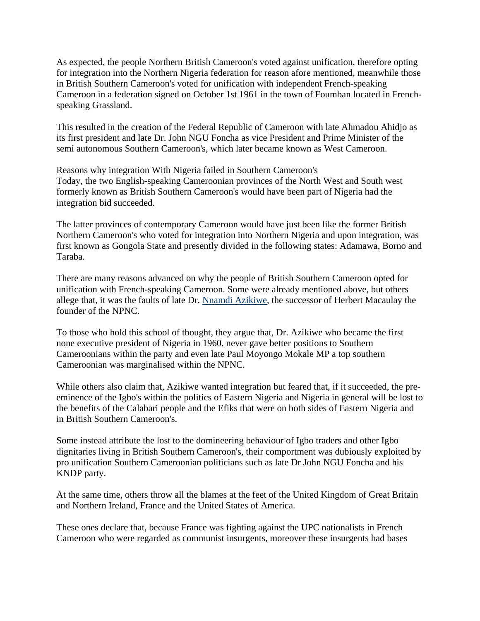As expected, the people Northern British Cameroon's voted against unification, therefore opting for integration into the Northern Nigeria federation for reason afore mentioned, meanwhile those in British Southern Cameroon's voted for unification with independent French-speaking Cameroon in a federation signed on October 1st 1961 in the town of Foumban located in Frenchspeaking Grassland.

This resulted in the creation of the Federal Republic of Cameroon with late Ahmadou Ahidjo as its first president and late Dr. John NGU Foncha as vice President and Prime Minister of the semi autonomous Southern Cameroon's, which later became known as West Cameroon.

Reasons why integration With Nigeria failed in Southern Cameroon's Today, the two English-speaking Cameroonian provinces of the North West and South west formerly known as British Southern Cameroon's would have been part of Nigeria had the integration bid succeeded.

The latter provinces of contemporary Cameroon would have just been like the former British Northern Cameroon's who voted for integration into Northern Nigeria and upon integration, was first known as Gongola State and presently divided in the following states: Adamawa, Borno and Taraba.

There are many reasons advanced on why the people of British Southern Cameroon opted for unification with French-speaking Cameroon. Some were already mentioned above, but others allege that, it was the faults of late Dr. Nnamdi Azikiwe, the successor of Herbert Macaulay the founder of the NPNC.

To those who hold this school of thought, they argue that, Dr. Azikiwe who became the first none executive president of Nigeria in 1960, never gave better positions to Southern Cameroonians within the party and even late Paul Moyongo Mokale MP a top southern Cameroonian was marginalised within the NPNC.

While others also claim that, Azikiwe wanted integration but feared that, if it succeeded, the preeminence of the Igbo's within the politics of Eastern Nigeria and Nigeria in general will be lost to the benefits of the Calabari people and the Efiks that were on both sides of Eastern Nigeria and in British Southern Cameroon's.

Some instead attribute the lost to the domineering behaviour of Igbo traders and other Igbo dignitaries living in British Southern Cameroon's, their comportment was dubiously exploited by pro unification Southern Cameroonian politicians such as late Dr John NGU Foncha and his KNDP party.

At the same time, others throw all the blames at the feet of the United Kingdom of Great Britain and Northern Ireland, France and the United States of America.

These ones declare that, because France was fighting against the UPC nationalists in French Cameroon who were regarded as communist insurgents, moreover these insurgents had bases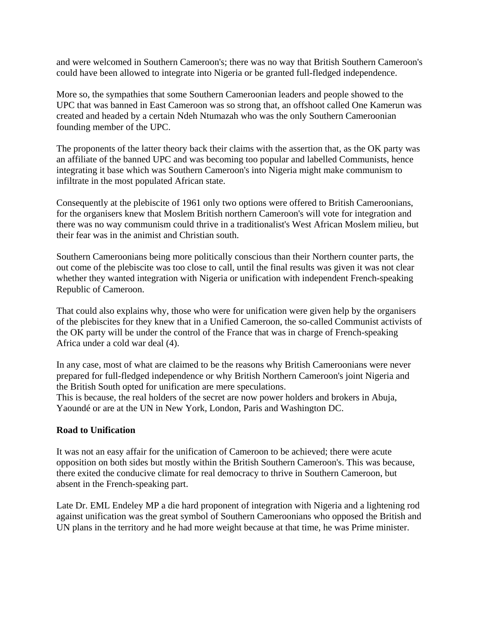and were welcomed in Southern Cameroon's; there was no way that British Southern Cameroon's could have been allowed to integrate into Nigeria or be granted full-fledged independence.

More so, the sympathies that some Southern Cameroonian leaders and people showed to the UPC that was banned in East Cameroon was so strong that, an offshoot called One Kamerun was created and headed by a certain Ndeh Ntumazah who was the only Southern Cameroonian founding member of the UPC.

The proponents of the latter theory back their claims with the assertion that, as the OK party was an affiliate of the banned UPC and was becoming too popular and labelled Communists, hence integrating it base which was Southern Cameroon's into Nigeria might make communism to infiltrate in the most populated African state.

Consequently at the plebiscite of 1961 only two options were offered to British Cameroonians, for the organisers knew that Moslem British northern Cameroon's will vote for integration and there was no way communism could thrive in a traditionalist's West African Moslem milieu, but their fear was in the animist and Christian south.

Southern Cameroonians being more politically conscious than their Northern counter parts, the out come of the plebiscite was too close to call, until the final results was given it was not clear whether they wanted integration with Nigeria or unification with independent French-speaking Republic of Cameroon.

That could also explains why, those who were for unification were given help by the organisers of the plebiscites for they knew that in a Unified Cameroon, the so-called Communist activists of the OK party will be under the control of the France that was in charge of French-speaking Africa under a cold war deal (4).

In any case, most of what are claimed to be the reasons why British Cameroonians were never prepared for full-fledged independence or why British Northern Cameroon's joint Nigeria and the British South opted for unification are mere speculations.

This is because, the real holders of the secret are now power holders and brokers in Abuja, Yaoundé or are at the UN in New York, London, Paris and Washington DC.

#### **Road to Unification**

It was not an easy affair for the unification of Cameroon to be achieved; there were acute opposition on both sides but mostly within the British Southern Cameroon's. This was because, there exited the conducive climate for real democracy to thrive in Southern Cameroon, but absent in the French-speaking part.

Late Dr. EML Endeley MP a die hard proponent of integration with Nigeria and a lightening rod against unification was the great symbol of Southern Cameroonians who opposed the British and UN plans in the territory and he had more weight because at that time, he was Prime minister.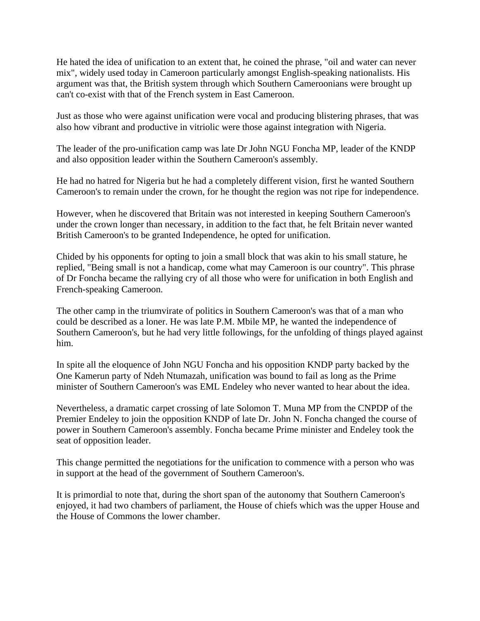He hated the idea of unification to an extent that, he coined the phrase, "oil and water can never mix", widely used today in Cameroon particularly amongst English-speaking nationalists. His argument was that, the British system through which Southern Cameroonians were brought up can't co-exist with that of the French system in East Cameroon.

Just as those who were against unification were vocal and producing blistering phrases, that was also how vibrant and productive in vitriolic were those against integration with Nigeria.

The leader of the pro-unification camp was late Dr John NGU Foncha MP, leader of the KNDP and also opposition leader within the Southern Cameroon's assembly.

He had no hatred for Nigeria but he had a completely different vision, first he wanted Southern Cameroon's to remain under the crown, for he thought the region was not ripe for independence.

However, when he discovered that Britain was not interested in keeping Southern Cameroon's under the crown longer than necessary, in addition to the fact that, he felt Britain never wanted British Cameroon's to be granted Independence, he opted for unification.

Chided by his opponents for opting to join a small block that was akin to his small stature, he replied, "Being small is not a handicap, come what may Cameroon is our country". This phrase of Dr Foncha became the rallying cry of all those who were for unification in both English and French-speaking Cameroon.

The other camp in the triumvirate of politics in Southern Cameroon's was that of a man who could be described as a loner. He was late P.M. Mbile MP, he wanted the independence of Southern Cameroon's, but he had very little followings, for the unfolding of things played against him.

In spite all the eloquence of John NGU Foncha and his opposition KNDP party backed by the One Kamerun party of Ndeh Ntumazah, unification was bound to fail as long as the Prime minister of Southern Cameroon's was EML Endeley who never wanted to hear about the idea.

Nevertheless, a dramatic carpet crossing of late Solomon T. Muna MP from the CNPDP of the Premier Endeley to join the opposition KNDP of late Dr. John N. Foncha changed the course of power in Southern Cameroon's assembly. Foncha became Prime minister and Endeley took the seat of opposition leader.

This change permitted the negotiations for the unification to commence with a person who was in support at the head of the government of Southern Cameroon's.

It is primordial to note that, during the short span of the autonomy that Southern Cameroon's enjoyed, it had two chambers of parliament, the House of chiefs which was the upper House and the House of Commons the lower chamber.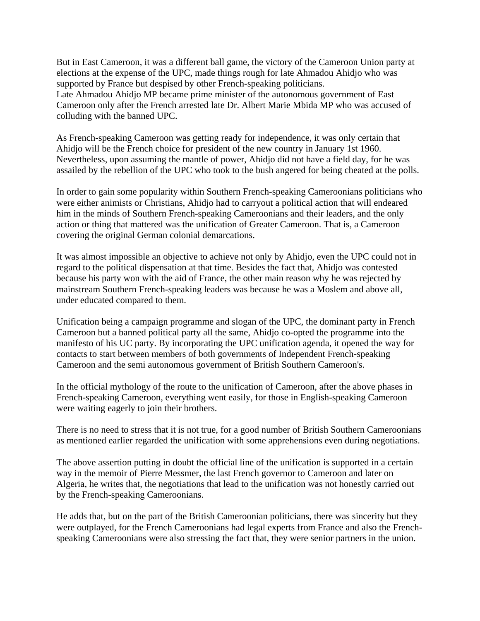But in East Cameroon, it was a different ball game, the victory of the Cameroon Union party at elections at the expense of the UPC, made things rough for late Ahmadou Ahidjo who was supported by France but despised by other French-speaking politicians.

Late Ahmadou Ahidjo MP became prime minister of the autonomous government of East Cameroon only after the French arrested late Dr. Albert Marie Mbida MP who was accused of colluding with the banned UPC.

As French-speaking Cameroon was getting ready for independence, it was only certain that Ahidjo will be the French choice for president of the new country in January 1st 1960. Nevertheless, upon assuming the mantle of power, Ahidjo did not have a field day, for he was assailed by the rebellion of the UPC who took to the bush angered for being cheated at the polls.

In order to gain some popularity within Southern French-speaking Cameroonians politicians who were either animists or Christians, Ahidjo had to carryout a political action that will endeared him in the minds of Southern French-speaking Cameroonians and their leaders, and the only action or thing that mattered was the unification of Greater Cameroon. That is, a Cameroon covering the original German colonial demarcations.

It was almost impossible an objective to achieve not only by Ahidjo, even the UPC could not in regard to the political dispensation at that time. Besides the fact that, Ahidjo was contested because his party won with the aid of France, the other main reason why he was rejected by mainstream Southern French-speaking leaders was because he was a Moslem and above all, under educated compared to them.

Unification being a campaign programme and slogan of the UPC, the dominant party in French Cameroon but a banned political party all the same, Ahidjo co-opted the programme into the manifesto of his UC party. By incorporating the UPC unification agenda, it opened the way for contacts to start between members of both governments of Independent French-speaking Cameroon and the semi autonomous government of British Southern Cameroon's.

In the official mythology of the route to the unification of Cameroon, after the above phases in French-speaking Cameroon, everything went easily, for those in English-speaking Cameroon were waiting eagerly to join their brothers.

There is no need to stress that it is not true, for a good number of British Southern Cameroonians as mentioned earlier regarded the unification with some apprehensions even during negotiations.

The above assertion putting in doubt the official line of the unification is supported in a certain way in the memoir of Pierre Messmer, the last French governor to Cameroon and later on Algeria, he writes that, the negotiations that lead to the unification was not honestly carried out by the French-speaking Cameroonians.

He adds that, but on the part of the British Cameroonian politicians, there was sincerity but they were outplayed, for the French Cameroonians had legal experts from France and also the Frenchspeaking Cameroonians were also stressing the fact that, they were senior partners in the union.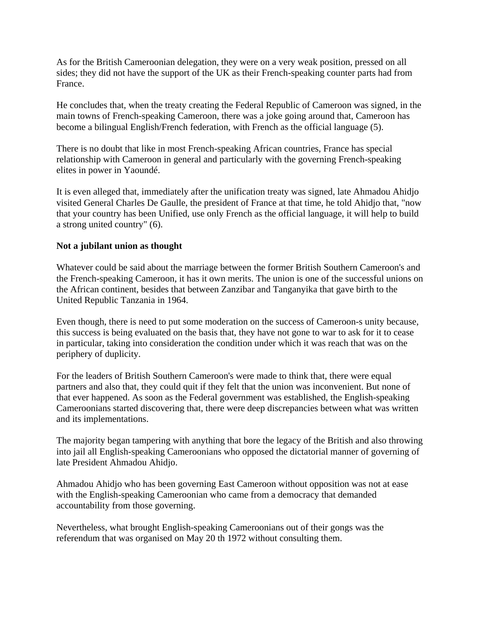As for the British Cameroonian delegation, they were on a very weak position, pressed on all sides; they did not have the support of the UK as their French-speaking counter parts had from France.

He concludes that, when the treaty creating the Federal Republic of Cameroon was signed, in the main towns of French-speaking Cameroon, there was a joke going around that, Cameroon has become a bilingual English/French federation, with French as the official language (5).

There is no doubt that like in most French-speaking African countries, France has special relationship with Cameroon in general and particularly with the governing French-speaking elites in power in Yaoundé.

It is even alleged that, immediately after the unification treaty was signed, late Ahmadou Ahidjo visited General Charles De Gaulle, the president of France at that time, he told Ahidjo that, "now that your country has been Unified, use only French as the official language, it will help to build a strong united country" (6).

### **Not a jubilant union as thought**

Whatever could be said about the marriage between the former British Southern Cameroon's and the French-speaking Cameroon, it has it own merits. The union is one of the successful unions on the African continent, besides that between Zanzibar and Tanganyika that gave birth to the United Republic Tanzania in 1964.

Even though, there is need to put some moderation on the success of Cameroon-s unity because, this success is being evaluated on the basis that, they have not gone to war to ask for it to cease in particular, taking into consideration the condition under which it was reach that was on the periphery of duplicity.

For the leaders of British Southern Cameroon's were made to think that, there were equal partners and also that, they could quit if they felt that the union was inconvenient. But none of that ever happened. As soon as the Federal government was established, the English-speaking Cameroonians started discovering that, there were deep discrepancies between what was written and its implementations.

The majority began tampering with anything that bore the legacy of the British and also throwing into jail all English-speaking Cameroonians who opposed the dictatorial manner of governing of late President Ahmadou Ahidjo.

Ahmadou Ahidjo who has been governing East Cameroon without opposition was not at ease with the English-speaking Cameroonian who came from a democracy that demanded accountability from those governing.

Nevertheless, what brought English-speaking Cameroonians out of their gongs was the referendum that was organised on May 20 th 1972 without consulting them.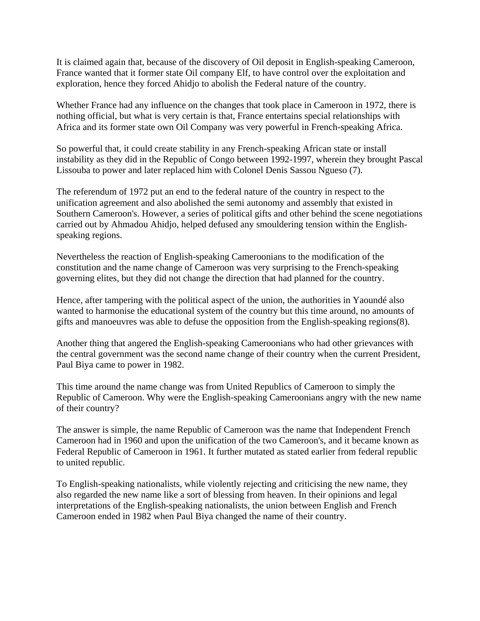It is claimed again that, because of the discovery of Oil deposit in English-speaking Cameroon, France wanted that it former state Oil company Elf, to have control over the exploitation and exploration, hence they forced Ahidjo to abolish the Federal nature of the country.

Whether France had any influence on the changes that took place in Cameroon in 1972, there is nothing official, but what is very certain is that, France entertains special relationships with Africa and its former state own Oil Company was very powerful in French-speaking Africa.

So powerful that, it could create stability in any French-speaking African state or install instability as they did in the Republic of Congo between 1992-1997, wherein they brought Pascal Lissouba to power and later replaced him with Colonel Denis Sassou Ngueso (7).

The referendum of 1972 put an end to the federal nature of the country in respect to the unification agreement and also abolished the semi autonomy and assembly that existed in Southern Cameroon's. However, a series of political gifts and other behind the scene negotiations carried out by Ahmadou Ahidjo, helped defused any smouldering tension within the Englishspeaking regions.

Nevertheless the reaction of English-speaking Cameroonians to the modification of the constitution and the name change of Cameroon was very surprising to the French-speaking governing elites, but they did not change the direction that had planned for the country.

Hence, after tampering with the political aspect of the union, the authorities in Yaoundé also wanted to harmonise the educational system of the country but this time around, no amounts of gifts and manoeuvres was able to defuse the opposition from the English-speaking regions(8).

Another thing that angered the English-speaking Cameroonians who had other grievances with the central government was the second name change of their country when the current President, Paul Biya came to power in 1982.

This time around the name change was from United Republics of Cameroon to simply the Republic of Cameroon. Why were the English-speaking Cameroonians angry with the new name of their country?

The answer is simple, the name Republic of Cameroon was the name that Independent French Cameroon had in 1960 and upon the unification of the two Cameroon's, and it became known as Federal Republic of Cameroon in 1961. It further mutated as stated earlier from federal republic to united republic.

To English-speaking nationalists, while violently rejecting and criticising the new name, they also regarded the new name like a sort of blessing from heaven. In their opinions and legal interpretations of the English-speaking nationalists, the union between English and French Cameroon ended in 1982 when Paul Biya changed the name of their country.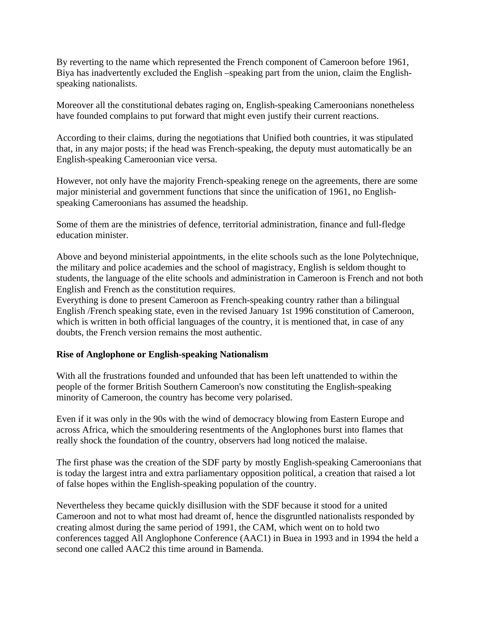By reverting to the name which represented the French component of Cameroon before 1961, Biya has inadvertently excluded the English –speaking part from the union, claim the Englishspeaking nationalists.

Moreover all the constitutional debates raging on, English-speaking Cameroonians nonetheless have founded complains to put forward that might even justify their current reactions.

According to their claims, during the negotiations that Unified both countries, it was stipulated that, in any major posts; if the head was French-speaking, the deputy must automatically be an English-speaking Cameroonian vice versa.

However, not only have the majority French-speaking renege on the agreements, there are some major ministerial and government functions that since the unification of 1961, no Englishspeaking Cameroonians has assumed the headship.

Some of them are the ministries of defence, territorial administration, finance and full-fledge education minister.

Above and beyond ministerial appointments, in the elite schools such as the lone Polytechnique, the military and police academies and the school of magistracy, English is seldom thought to students, the language of the elite schools and administration in Cameroon is French and not both English and French as the constitution requires.

Everything is done to present Cameroon as French-speaking country rather than a bilingual English /French speaking state, even in the revised January 1st 1996 constitution of Cameroon, which is written in both official languages of the country, it is mentioned that, in case of any doubts, the French version remains the most authentic.

# **Rise of Anglophone or English-speaking Nationalism**

With all the frustrations founded and unfounded that has been left unattended to within the people of the former British Southern Cameroon's now constituting the English-speaking minority of Cameroon, the country has become very polarised.

Even if it was only in the 90s with the wind of democracy blowing from Eastern Europe and across Africa, which the smouldering resentments of the Anglophones burst into flames that really shock the foundation of the country, observers had long noticed the malaise.

The first phase was the creation of the SDF party by mostly English-speaking Cameroonians that is today the largest intra and extra parliamentary opposition political, a creation that raised a lot of false hopes within the English-speaking population of the country.

Nevertheless they became quickly disillusion with the SDF because it stood for a united Cameroon and not to what most had dreamt of, hence the disgruntled nationalists responded by creating almost during the same period of 1991, the CAM, which went on to hold two conferences tagged All Anglophone Conference (AAC1) in Buea in 1993 and in 1994 the held a second one called AAC2 this time around in Bamenda.